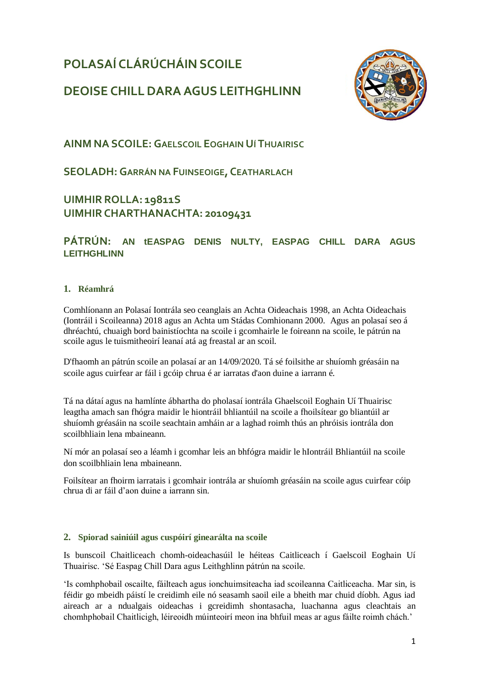# **POLASAÍ CLÁRÚCHÁIN SCOILE**



# **DEOISE CHILLDARA AGUS LEITHGHLINN**

**AINM NA SCOILE: GAELSCOIL EOGHAIN UÍ THUAIRISC**

**SEOLADH: GARRÁN NA FUINSEOIGE, CEATHARLACH**

# **UIMHIR ROLLA: 19811S UIMHIRCHARTHANACHTA: 20109431**

# **PÁTRÚN: AN tEASPAG DENIS NULTY, EASPAG CHILL DARA AGUS LEITHGHLINN**

# **1. Réamhrá**

Comhlíonann an Polasaí Iontrála seo ceanglais an Achta Oideachais 1998, an Achta Oideachais (Iontráil i Scoileanna) 2018 agus an Achta um Stádas Comhionann 2000. Agus an polasaí seo á dhréachtú, chuaigh bord bainistíochta na scoile i gcomhairle le foireann na scoile, le pátrún na scoile agus le tuismitheoirí leanaí atá ag freastal ar an scoil.

D'fhaomh an pátrún scoile an polasaí ar an 14/09/2020. Tá sé foilsithe ar shuíomh gréasáin na scoile agus cuirfear ar fáil i gcóip chrua é ar iarratas d'aon duine a iarrann é.

Tá na dátaí agus na hamlínte ábhartha do pholasaí iontrála Ghaelscoil Eoghain Uí Thuairisc leagtha amach san fhógra maidir le hiontráil bhliantúil na scoile a fhoilsítear go bliantúil ar shuíomh gréasáin na scoile seachtain amháin ar a laghad roimh thús an phróisis iontrála don scoilbhliain lena mbaineann.

Ní mór an polasaí seo a léamh i gcomhar leis an bhfógra maidir le hIontráil Bhliantúil na scoile don scoilbhliain lena mbaineann.

Foilsítear an fhoirm iarratais i gcomhair iontrála ar shuíomh gréasáin na scoile agus cuirfear cóip chrua di ar fáil d'aon duine a iarrann sin.

# **2. Spiorad sainiúil agus cuspóirí ginearálta na scoile**

Is bunscoil Chaitliceach chomh-oideachasúil le héiteas Caitliceach í Gaelscoil Eoghain Uí Thuairisc. 'Sé Easpag Chill Dara agus Leithghlinn pátrún na scoile.

'Is comhphobail oscailte, fáilteach agus ionchuimsiteacha iad scoileanna Caitliceacha. Mar sin, is féidir go mbeidh páistí le creidimh eile nó seasamh saoil eile a bheith mar chuid díobh. Agus iad aireach ar a ndualgais oideachas i gcreidimh shontasacha, luachanna agus cleachtais an chomhphobail Chaitlicigh, léireoidh múinteoirí meon ina bhfuil meas ar agus fáilte roimh chách.'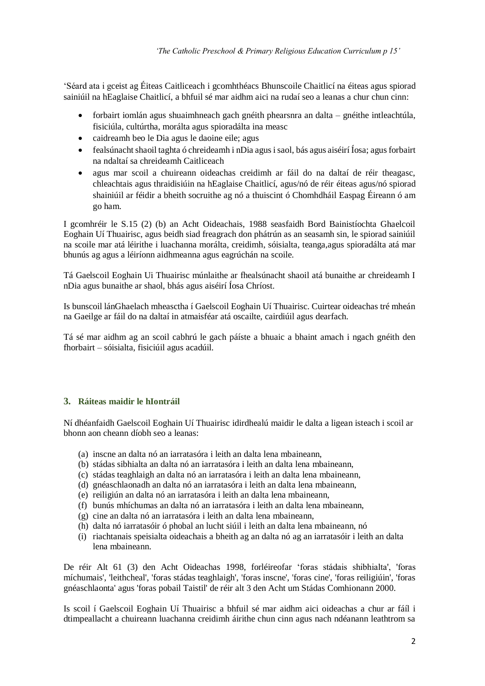'Séard ata i gceist ag Éiteas Caitliceach i gcomhthéacs Bhunscoile Chaitlicí na éiteas agus spiorad sainiúil na hEaglaise Chaitlicí, a bhfuil sé mar aidhm aici na rudaí seo a leanas a chur chun cinn:

- forbairt iomlán agus shuaimhneach gach gnéith phearsnra an dalta gnéithe intleachtúla, fisiciúla, cultúrtha, morálta agus spioradálta ina measc
- caidreamh beo le Dia agus le daoine eile; agus
- fealsúnacht shaoil taghta ó chreideamh i nDia agus i saol, bás agus aiséirí Íosa; agus forbairt na ndaltaí sa chreideamh Caitliceach
- agus mar scoil a chuireann oideachas creidimh ar fáil do na daltaí de réir theagasc, chleachtais agus thraidisiúin na hEaglaise Chaitlicí, agus/nó de réir éiteas agus/nó spiorad shainiúil ar féidir a bheith socruithe ag nó a thuiscint ó Chomhdháil Easpag Éireann ó am go ham.

I gcomhréir le S.15 (2) (b) an Acht Oideachais, 1988 seasfaidh Bord Bainistíochta Ghaelcoil Eoghain Uí Thuairisc, agus beidh siad freagrach don phátrún as an seasamh sin, le spiorad sainiúil na scoile mar atá léirithe i luachanna morálta, creidimh, sóisialta, teanga,agus spioradálta atá mar bhunús ag agus a léiríonn aidhmeanna agus eagrúchán na scoile.

Tá Gaelscoil Eoghain Ui Thuairisc múnlaithe ar fhealsúnacht shaoil atá bunaithe ar chreideamh I nDia agus bunaithe ar shaol, bhás agus aiséirí Íosa Chríost.

Is bunscoil lánGhaelach mheasctha í Gaelscoil Eoghain Uí Thuairisc. Cuirtear oideachas tré mheán na Gaeilge ar fáil do na daltaí in atmaisféar atá oscailte, cairdiúil agus dearfach.

Tá sé mar aidhm ag an scoil cabhrú le gach páíste a bhuaic a bhaint amach i ngach gnéith den fhorbairt – sóisialta, fisiciúil agus acadúil.

## **3. Ráiteas maidir le hIontráil**

Ní dhéanfaidh Gaelscoil Eoghain Uí Thuairisc idirdhealú maidir le dalta a ligean isteach i scoil ar bhonn aon cheann díobh seo a leanas:

- (a) inscne an dalta nó an iarratasóra i leith an dalta lena mbaineann,
- (b) stádas sibhialta an dalta nó an iarratasóra i leith an dalta lena mbaineann,
- (c) stádas teaghlaigh an dalta nó an iarratasóra i leith an dalta lena mbaineann,
- (d) gnéaschlaonadh an dalta nó an iarratasóra i leith an dalta lena mbaineann,
- (e) reiligiún an dalta nó an iarratasóra i leith an dalta lena mbaineann,
- (f) bunús mhíchumas an dalta nó an iarratasóra i leith an dalta lena mbaineann,
- (g) cine an dalta nó an iarratasóra i leith an dalta lena mbaineann,
- (h) dalta nó iarratasóir ó phobal an lucht siúil i leith an dalta lena mbaineann, nó
- (i) riachtanais speisialta oideachais a bheith ag an dalta nó ag an iarratasóir i leith an dalta lena mbaineann.

De réir Alt 61 (3) den Acht Oideachas 1998, forléireofar 'foras stádais shibhialta', 'foras míchumais', 'leithcheal', 'foras stádas teaghlaigh', 'foras inscne', 'foras cine', 'foras reiligiúin', 'foras gnéaschlaonta' agus 'foras pobail Taistil' de réir alt 3 den Acht um Stádas Comhionann 2000.

Is scoil í Gaelscoil Eoghain Uí Thuairisc a bhfuil sé mar aidhm aici oideachas a chur ar fáíl i dtimpeallacht a chuireann luachanna creidimh áirithe chun cinn agus nach ndéanann leathtrom sa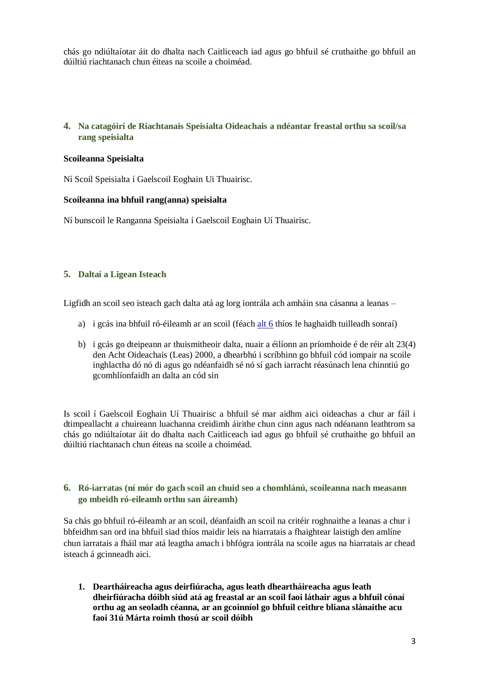chás go ndiúltaíotar áit do dhalta nach Caitliceach iad agus go bhfuil sé cruthaithe go bhfuil an dúiltiú riachtanach chun éiteas na scoile a choiméad.

## **4. Na catagóirí de Riachtanais Speisialta Oideachais a ndéantar freastal orthu sa scoil/sa rang speisialta**

### **Scoileanna Speisialta**

Ní Scoil Speisialta í Gaelscoil Eoghain Ui Thuairisc.

### **Scoileanna ina bhfuil rang(anna) speisialta**

Ní bunscoil le Ranganna Speisialta í Gaelscoil Eoghain Uí Thuairisc.

### **5. Daltaí a Ligean Isteach**

Ligfidh an scoil seo isteach gach dalta atá ag lorg iontrála ach amháin sna cásanna a leanas –

- a) i gcás ina bhfuil ró-éileamh ar an scoil (féach [alt 6](#page-2-0) thíos le haghaidh tuilleadh sonraí)
- b) i gcás go dteipeann ar thuismitheoir dalta, nuair a éilíonn an príomhoide é de réir alt 23(4) den Acht Oideachais (Leas) 2000, a dhearbhú i scríbhinn go bhfuil cód iompair na scoile inghlactha dó nó di agus go ndéanfaidh sé nó sí gach iarracht réasúnach lena chinntiú go gcomhlíonfaidh an dalta an cód sin

Is scoil í Gaelscoil Eoghain Uí Thuairisc a bhfuil sé mar aidhm aici oideachas a chur ar fáíl i dtimpeallacht a chuireann luachanna creidimh áirithe chun cinn agus nach ndéanann leathtrom sa chás go ndiúltaíotar áit do dhalta nach Caitliceach iad agus go bhfuil sé cruthaithe go bhfuil an dúiltiú riachtanach chun éiteas na scoile a choiméad.

### <span id="page-2-0"></span>**6. Ró-iarratas (ní mór do gach scoil an chuid seo a chomhlánú, scoileanna nach measann go mbeidh ró-eileamh orthu san áireamh)**

Sa chás go bhfuil ró-éileamh ar an scoil, déanfaidh an scoil na critéir roghnaithe a leanas a chur i bhfeidhm san ord ina bhfuil siad thíos maidir leis na hiarratais a fhaightear laistigh den amlíne chun iarratais a fháil mar atá leagtha amach i bhfógra iontrála na scoile agus na hiarratais ar chead isteach á gcinneadh aici.

**1. Deartháireacha agus deirfiúracha, agus leath dheartháireacha agus leath dheirfiúracha dóibh siúd atá ag freastal ar an scoil faoi láthair agus a bhfuil cónaí orthu ag an seoladh céanna, ar an gcoinníol go bhfuil ceithre bliana slánaithe acu faoi 31ú Márta roimh thosú ar scoil dóibh**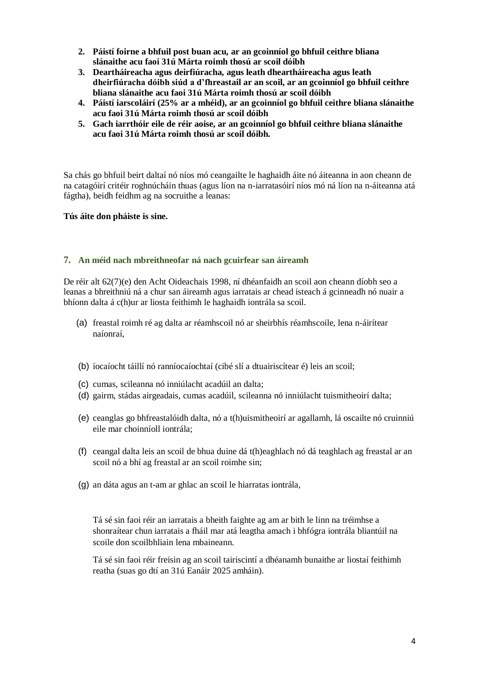- **2. Páistí foirne a bhfuil post buan acu, ar an gcoinníol go bhfuil ceithre bliana slánaithe acu faoi 31ú Márta roimh thosú ar scoil dóibh**
- **3. Deartháireacha agus deirfiúracha, agus leath dheartháireacha agus leath dheirfiúracha dóibh siúd a d'fhreastail ar an scoil, ar an gcoinníol go bhfuil ceithre bliana slánaithe acu faoi 31ú Márta roimh thosú ar scoil dóibh**
- **4. Páistí iarscoláirí (25% ar a mhéid), ar an gcoinníol go bhfuil ceithre bliana slánaithe acu faoi 31ú Márta roimh thosú ar scoil dóibh**
- **5. Gach iarrthóir eile de réir aoise, ar an gcoinníol go bhfuil ceithre bliana slánaithe acu faoi 31ú Márta roimh thosú ar scoil dóibh.**

Sa chás go bhfuil beirt daltaí nó níos mó ceangailte le haghaidh áite nó áiteanna in aon cheann de na catagóirí critéir roghnúcháin thuas (agus líon na n-iarratasóirí níos mó ná líon na n-áiteanna atá fágtha), beidh feidhm ag na socruithe a leanas:

### **Tús áite don pháiste is sine.**

## **7. An méid nach mbreithneofar ná nach gcuirfear san áireamh**

De réir alt 62(7)(e) den Acht Oideachais 1998, ní dhéanfaidh an scoil aon cheann díobh seo a leanas a bhreithniú ná a chur san áireamh agus iarratais ar chead isteach á gcinneadh nó nuair a bhíonn dalta á c(h)ur ar liosta feithimh le haghaidh iontrála sa scoil.

- (a) freastal roimh ré ag dalta ar réamhscoil nó ar sheirbhís réamhscoile, lena n-áirítear naíonraí,
- (b) íocaíocht táillí nó ranníocaíochtaí (cibé slí a dtuairiscítear é) leis an scoil;
- (c) cumas, scileanna nó inniúlacht acadúil an dalta;
- (d) gairm, stádas airgeadais, cumas acadúil, scileanna nó inniúlacht tuismitheoirí dalta;
- (e) ceanglas go bhfreastalóidh dalta, nó a t(h)uismitheoirí ar agallamh, lá oscailte nó cruinniú eile mar choinníoll iontrála;
- (f) ceangal dalta leis an scoil de bhua duine dá t(h)eaghlach nó dá teaghlach ag freastal ar an scoil nó a bhí ag freastal ar an scoil roimhe sin;
- (g) an dáta agus an t-am ar ghlac an scoil le hiarratas iontrála,

Tá sé sin faoi réir an iarratais a bheith faighte ag am ar bith le linn na tréimhse a shonraítear chun iarratais a fháil mar atá leagtha amach i bhfógra iontrála bliantúil na scoile don scoilbhliain lena mbaineann.

Tá sé sin faoi réir freisin ag an scoil tairiscintí a dhéanamh bunaithe ar liostaí feithimh reatha (suas go dtí an 31ú Eanáir 2025 amháin).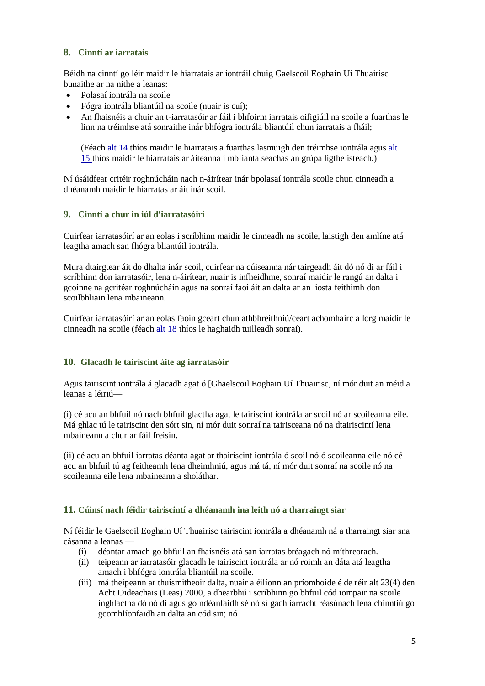## **8. Cinntí ar iarratais**

Béidh na cinntí go léir maidir le hiarratais ar iontráil chuig Gaelscoil Eoghain Ui Thuairisc bunaithe ar na nithe a leanas:

- Polasaí iontrála na scoile
- Fógra iontrála bliantúil na scoile (nuair is cuí);
- An fhaisnéis a chuir an t-iarratasóir ar fáil i bhfoirm iarratais oifigiúil na scoile a fuarthas le linn na tréimhse atá sonraithe inár bhfógra iontrála bliantúil chun iarratais a fháil;

(Féach [alt 14](#page-5-0) thíos maidir le hiarratais a fuarthas lasmuigh den tréimhse iontrála agus [alt](#page-5-1)  [15](#page-5-1) thíos maidir le hiarratais ar áiteanna i mblianta seachas an grúpa ligthe isteach.)

Ní úsáidfear critéir roghnúcháin nach n-áirítear inár bpolasaí iontrála scoile chun cinneadh a dhéanamh maidir le hiarratas ar áit inár scoil.

## **9. Cinntí a chur in iúl d'iarratasóirí**

Cuirfear iarratasóirí ar an eolas i scríbhinn maidir le cinneadh na scoile, laistigh den amlíne atá leagtha amach san fhógra bliantúil iontrála.

Mura dtairgtear áit do dhalta inár scoil, cuirfear na cúiseanna nár tairgeadh áit dó nó di ar fáil i scríbhinn don iarratasóir, lena n-áirítear, nuair is infheidhme, sonraí maidir le rangú an dalta i gcoinne na gcritéar roghnúcháin agus na sonraí faoi áit an dalta ar an liosta feithimh don scoilbhliain lena mbaineann.

Cuirfear iarratasóirí ar an eolas faoin gceart chun athbhreithniú/ceart achomhairc a lorg maidir le cinneadh na scoile (féach [alt 18](#page-6-0) thíos le haghaidh tuilleadh sonraí).

### <span id="page-4-0"></span>**10. Glacadh le tairiscint áite ag iarratasóir**

Agus tairiscint iontrála á glacadh agat ó [Ghaelscoil Eoghain Uí Thuairisc, ní mór duit an méid a leanas a léiriú—

(i) cé acu an bhfuil nó nach bhfuil glactha agat le tairiscint iontrála ar scoil nó ar scoileanna eile. Má ghlac tú le tairiscint den sórt sin, ní mór duit sonraí na tairisceana nó na dtairiscintí lena mbaineann a chur ar fáil freisin.

(ii) cé acu an bhfuil iarratas déanta agat ar thairiscint iontrála ó scoil nó ó scoileanna eile nó cé acu an bhfuil tú ag feitheamh lena dheimhniú, agus má tá, ní mór duit sonraí na scoile nó na scoileanna eile lena mbaineann a sholáthar.

## **11. Cúinsí nach féidir tairiscintí a dhéanamh ina leith nó a tharraingt siar**

Ní féidir le Gaelscoil Eoghain Uí Thuairisc tairiscint iontrála a dhéanamh ná a tharraingt siar sna cásanna a leanas —

- (i) déantar amach go bhfuil an fhaisnéis atá san iarratas bréagach nó míthreorach.
- (ii) teipeann ar iarratasóir glacadh le tairiscint iontrála ar nó roimh an dáta atá leagtha amach i bhfógra iontrála bliantúil na scoile.
- (iii) má theipeann ar thuismitheoir dalta, nuair a éilíonn an príomhoide é de réir alt 23(4) den Acht Oideachais (Leas) 2000, a dhearbhú i scríbhinn go bhfuil cód iompair na scoile inghlactha dó nó di agus go ndéanfaidh sé nó sí gach iarracht réasúnach lena chinntiú go gcomhlíonfaidh an dalta an cód sin; nó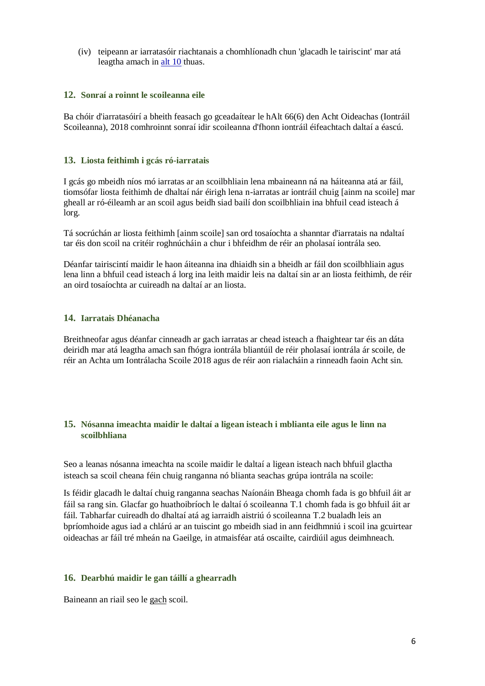(iv) teipeann ar iarratasóir riachtanais a chomhlíonadh chun 'glacadh le tairiscint' mar atá leagtha amach in [alt 10](#page-4-0) thuas.

### **12. Sonraí a roinnt le scoileanna eile**

Ba chóir d'iarratasóirí a bheith feasach go gceadaítear le hAlt 66(6) den Acht Oideachas (Iontráil Scoileanna), 2018 comhroinnt sonraí idir scoileanna d'fhonn iontráil éifeachtach daltaí a éascú.

#### **13. Liosta feithimh i gcás ró-iarratais**

I gcás go mbeidh níos mó iarratas ar an scoilbhliain lena mbaineann ná na háiteanna atá ar fáil, tiomsófar liosta feithimh de dhaltaí nár éirigh lena n-iarratas ar iontráil chuig [ainm na scoile] mar gheall ar ró-éileamh ar an scoil agus beidh siad bailí don scoilbhliain ina bhfuil cead isteach á lorg.

Tá socrúchán ar liosta feithimh [ainm scoile] san ord tosaíochta a shanntar d'iarratais na ndaltaí tar éis don scoil na critéir roghnúcháin a chur i bhfeidhm de réir an pholasaí iontrála seo.

Déanfar tairiscintí maidir le haon áiteanna ina dhiaidh sin a bheidh ar fáil don scoilbhliain agus lena linn a bhfuil cead isteach á lorg ina leith maidir leis na daltaí sin ar an liosta feithimh, de réir an oird tosaíochta ar cuireadh na daltaí ar an liosta.

### <span id="page-5-0"></span>**14. Iarratais Dhéanacha**

Breithneofar agus déanfar cinneadh ar gach iarratas ar chead isteach a fhaightear tar éis an dáta deiridh mar atá leagtha amach san fhógra iontrála bliantúil de réir pholasaí iontrála ár scoile, de réir an Achta um Iontrálacha Scoile 2018 agus de réir aon rialacháin a rinneadh faoin Acht sin.

## <span id="page-5-1"></span>**15. Nósanna imeachta maidir le daltaí a ligean isteach i mblianta eile agus le linn na scoilbhliana**

Seo a leanas nósanna imeachta na scoile maidir le daltaí a ligean isteach nach bhfuil glactha isteach sa scoil cheana féin chuig ranganna nó blianta seachas grúpa iontrála na scoile:

Is féidir glacadh le daltaí chuig ranganna seachas Naíonáin Bheaga chomh fada is go bhfuil áit ar fáil sa rang sin. Glacfar go huathoibríoch le daltaí ó scoileanna T.1 chomh fada is go bhfuil áit ar fáil. Tabharfar cuireadh do dhaltaí atá ag iarraidh aistriú ó scoileanna T.2 bualadh leis an bpríomhoide agus iad a chlárú ar an tuiscint go mbeidh siad in ann feidhmniú i scoil ina gcuirtear oideachas ar fáíl tré mheán na Gaeilge, in atmaisféar atá oscailte, cairdiúil agus deimhneach.

#### **16. Dearbhú maidir le gan táillí a ghearradh**

Baineann an riail seo le gach scoil.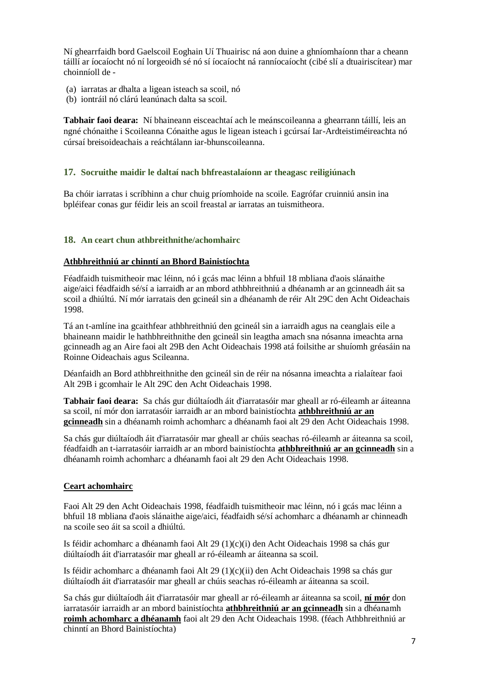Ní ghearrfaidh bord Gaelscoil Eoghain Uí Thuairisc ná aon duine a ghníomhaíonn thar a cheann táillí ar íocaíocht nó ní lorgeoidh sé nó sí íocaíocht ná ranníocaíocht (cibé slí a dtuairiscítear) mar choinníoll de -

- (a) iarratas ar dhalta a ligean isteach sa scoil, nó
- (b) iontráil nó clárú leanúnach dalta sa scoil.

**Tabhair faoi deara:** Ní bhaineann eisceachtaí ach le meánscoileanna a ghearrann táillí, leis an ngné chónaithe i Scoileanna Cónaithe agus le ligean isteach i gcúrsaí Iar-Ardteistiméireachta nó cúrsaí breisoideachais a reáchtálann iar-bhunscoileanna.

## **17. Socruithe maidir le daltaí nach bhfreastalaíonn ar theagasc reiligiúnach**

Ba chóir iarratas i scríbhinn a chur chuig príomhoide na scoile. Eagrófar cruinniú ansin ina bpléifear conas gur féidir leis an scoil freastal ar iarratas an tuismitheora.

## <span id="page-6-0"></span>**18. An ceart chun athbreithnithe/achomhairc**

## **Athbhreithniú ar chinntí an Bhord Bainistíochta**

Féadfaidh tuismitheoir mac léinn, nó i gcás mac léinn a bhfuil 18 mbliana d'aois slánaithe aige/aici féadfaidh sé/sí a iarraidh ar an mbord athbhreithniú a dhéanamh ar an gcinneadh áit sa scoil a dhiúltú. Ní mór iarratais den gcineál sin a dhéanamh de réir Alt 29C den Acht Oideachais 1998.

Tá an t-amlíne ina gcaithfear athbhreithniú den gcineál sin a iarraidh agus na ceanglais eile a bhaineann maidir le hathbhreithnithe den gcineál sin leagtha amach sna nósanna imeachta arna gcinneadh ag an Aire faoi alt 29B den Acht Oideachais 1998 atá foilsithe ar shuíomh gréasáin na Roinne Oideachais agus Scileanna.

Déanfaidh an Bord athbhreithnithe den gcineál sin de réir na nósanna imeachta a rialaítear faoi Alt 29B i gcomhair le Alt 29C den Acht Oideachais 1998.

**Tabhair faoi deara:** Sa chás gur diúltaíodh áit d'iarratasóir mar gheall ar ró-éileamh ar áiteanna sa scoil, ní mór don iarratasóir iarraidh ar an mbord bainistíochta **athbhreithniú ar an gcinneadh** sin a dhéanamh roimh achomharc a dhéanamh faoi alt 29 den Acht Oideachais 1998.

Sa chás gur diúltaíodh áit d'iarratasóir mar gheall ar chúis seachas ró-éileamh ar áiteanna sa scoil, féadfaidh an t-iarratasóir iarraidh ar an mbord bainistíochta **athbhreithniú ar an gcinneadh** sin a dhéanamh roimh achomharc a dhéanamh faoi alt 29 den Acht Oideachais 1998.

## **Ceart achomhairc**

Faoi Alt 29 den Acht Oideachais 1998, féadfaidh tuismitheoir mac léinn, nó i gcás mac léinn a bhfuil 18 mbliana d'aois slánaithe aige/aici, féadfaidh sé/sí achomharc a dhéanamh ar chinneadh na scoile seo áit sa scoil a dhiúltú.

Is féidir achomharc a dhéanamh faoi Alt 29 (1)(c)(i) den Acht Oideachais 1998 sa chás gur diúltaíodh áit d'iarratasóir mar gheall ar ró-éileamh ar áiteanna sa scoil.

Is féidir achomharc a dhéanamh faoi Alt 29 (1)(c)(ii) den Acht Oideachais 1998 sa chás gur diúltaíodh áit d'iarratasóir mar gheall ar chúis seachas ró-éileamh ar áiteanna sa scoil.

Sa chás gur diúltaíodh áit d'iarratasóir mar gheall ar ró-éileamh ar áiteanna sa scoil, **ní mór** don iarratasóir iarraidh ar an mbord bainistíochta **athbhreithniú ar an gcinneadh** sin a dhéanamh **roimh achomharc a dhéanamh** faoi alt 29 den Acht Oideachais 1998. (féach Athbhreithniú ar chinntí an Bhord Bainistíochta)